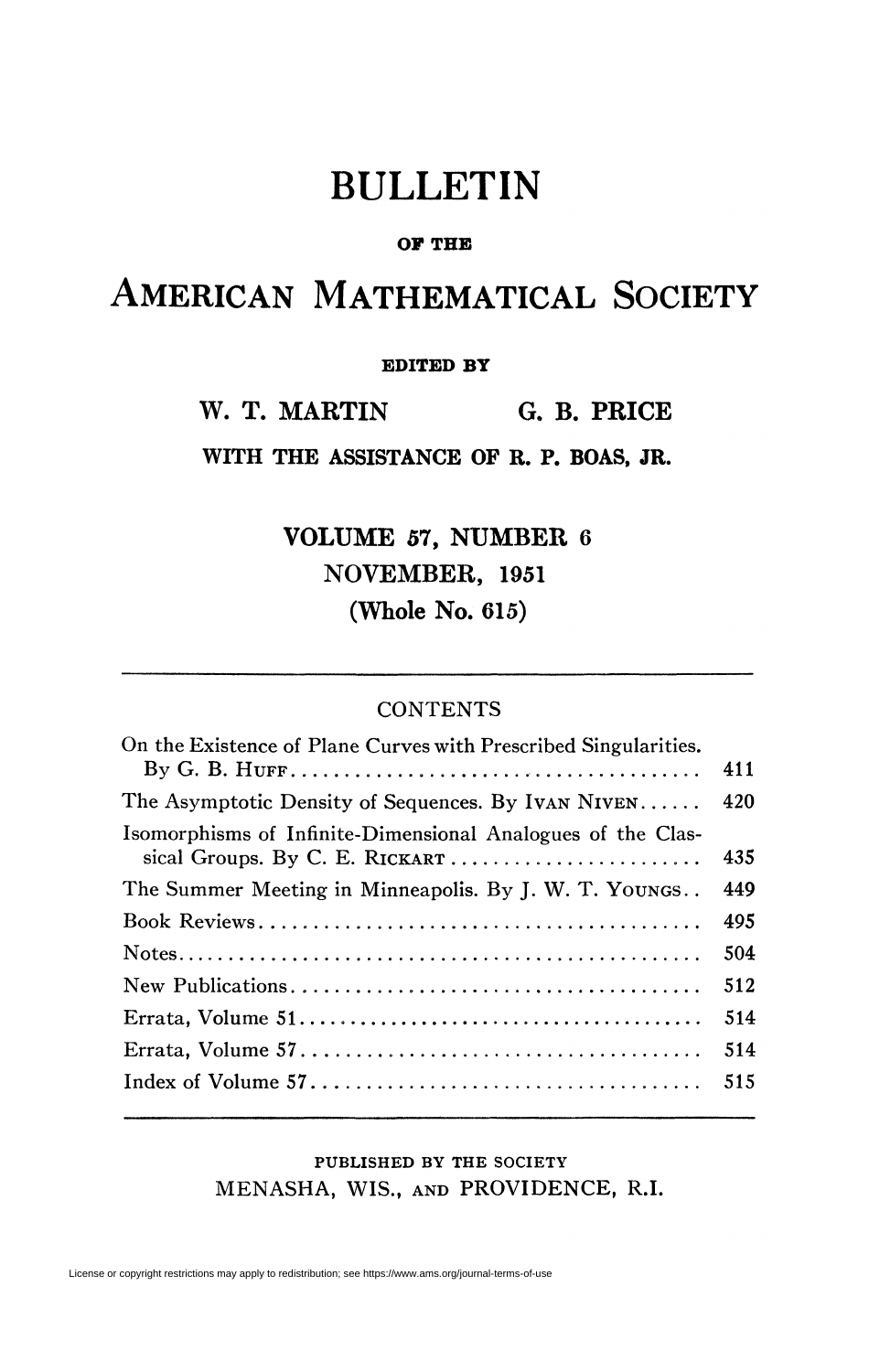## BULLETIN

#### **OF THE**

# AMERICAN MATHEMATICAL SOCIETY

#### **EDITED BY**

**W. T. MARTIN G. B. PRICE** 

**WITH THE ASSISTANCE OF R. P. BOAS, JR.** 

**VOLUME 57, NUMBER 6 NOVEMBER, 1951 (Whole No. 615)** 

#### **CONTENTS**

| On the Existence of Plane Curves with Prescribed Singularities. |     |
|-----------------------------------------------------------------|-----|
|                                                                 | 411 |
| The Asymptotic Density of Sequences. By IVAN NIVEN              | 420 |
| Isomorphisms of Infinite-Dimensional Analogues of the Clas-     |     |
|                                                                 | 435 |
| The Summer Meeting in Minneapolis. By J. W. T. YOUNGS           | 449 |
|                                                                 | 495 |
|                                                                 | 504 |
|                                                                 | 512 |
|                                                                 | 514 |
|                                                                 | 514 |
|                                                                 | 515 |
|                                                                 |     |

### **PUBLISHED BY THE SOCIETY**  MENASHA, WIS., AND PROVIDENCE, R.I.